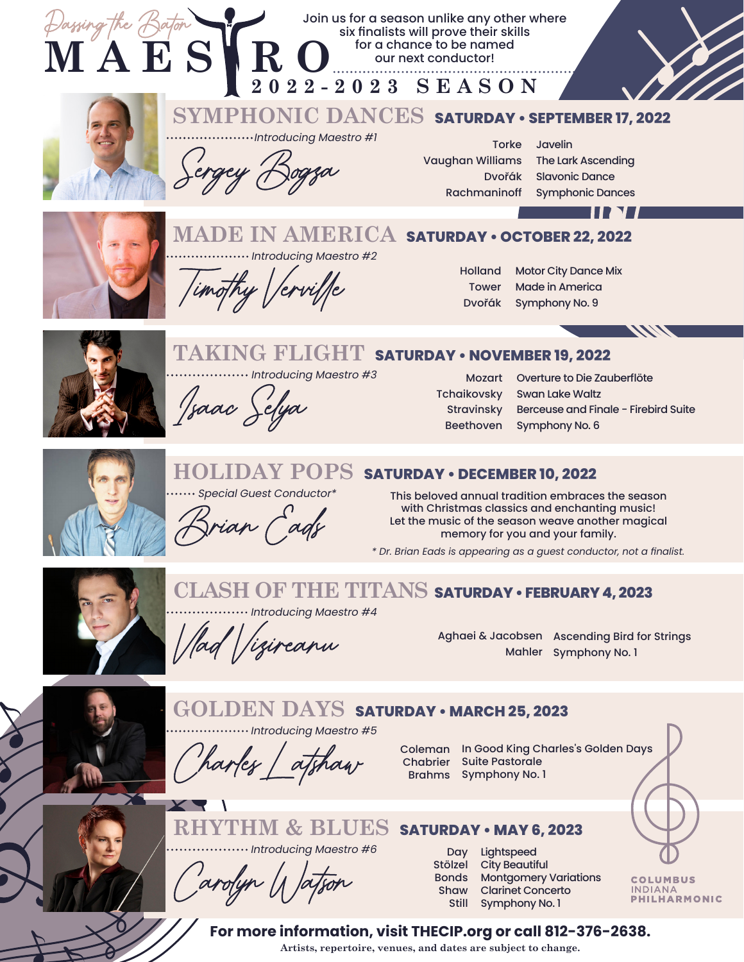



## Stravinsky Beethoven

Tchaikovsky Swan Lake Waltz<br>
Stravinsky Berceuse and Finale - Firebird Suite<br>
Beethoven Symphony No. 6



ian Cads

#### **HOLIDAY POPS SATURDAY • DECEMBER 10, 2022**

Special Guest Conductor\* This beloved annual tradition embraces the season with Christmas classics and enchanting music! Let the music of the season weave another magical memory for you and your family.

*\* Dr. Brian Eads is appearing as a guest conductor, not a finalist.*



## **CLASH OF THE TITANS SATURDAY • FEBRUARY 4, 2023**

 $\cdots$  Introducing Maestro #4

 $1$ /ad /izireanu

Aghaei & Jacobsen Ascending Bird for Strings Mahler Symphony No. 1



## Narles atshaw  $\cdots$  Introducing Maestro #5 **GOLDEN DAYS SATURDAY • MARCH 25, 2023**

Coleman In Good King Charles's Golden Days **Chabrier** Suite Pastorale Brahms Symphony No. 1



....... Introducing Maestro #6

Stölzel City Beautiful<br>
Carolyn Watson Shaw Clarinet Concerto

**RHYTHM & BLUES SATURDAY • MAY 6, 2023**

Day Lightspeed Stölzel City Beautiful Bonds Montgomery Variations Shaw Still Symphony No. 1

**COLUMBUS** INDIANA<br>PHILHARMONIC

**For more information, visit THECIP.org or call 812-376-2638.**

**Artists, repertoire, venues, and dates are subject to change.**